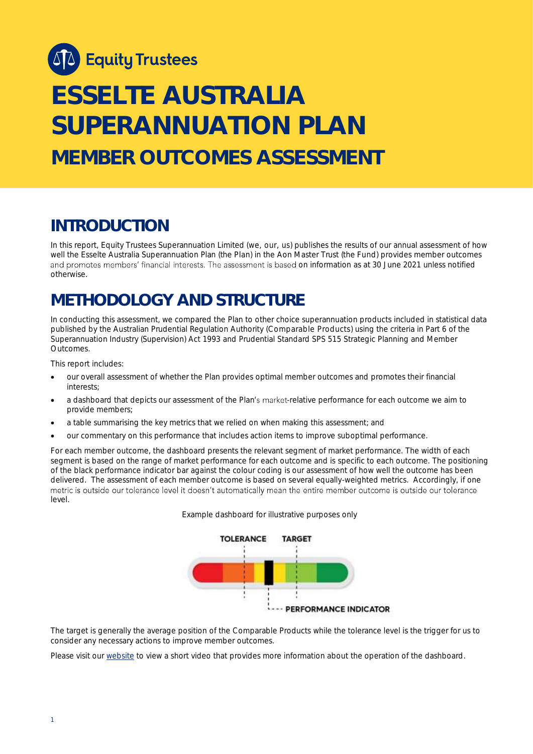

# **ESSELTE AUSTRALIA SUPERANNUATION PLAN MEMBER OUTCOMES ASSESSMENT**

### **INTRODUCTION**

In this report, Equity Trustees Superannuation Limited (we, our, us) publishes the results of our annual assessment of how well the Esselte Australia Superannuation Plan (the Plan) in the Aon Master Trust (the Fund) provides member outcomes and promotes members' financial interests. The assessment is based on information as at 30 June 2021 unless notified otherwise.

# **METHODOLOGY AND STRUCTURE**

In conducting this assessment, we compared the Plan to other choice superannuation products included in statistical data published by the Australian Prudential Regulation Authority (Comparable Products) using the criteria in Part 6 of the *Superannuation Industry (Supervision) Act 1993* and Prudential Standard SPS 515 *Strategic Planning and Member Outcomes*.

This report includes:

- our overall assessment of whether the Plan provides optimal member outcomes and promotes their financial interests;
- a dashboard that depicts our assessment of the Plan's market-relative performance for each outcome we aim to provide members;
- a table summarising the key metrics that we relied on when making this assessment; and
- our commentary on this performance that includes action items to improve suboptimal performance.

For each member outcome, the dashboard presents the relevant segment of market performance. The width of each segment is based on the range of market performance for each outcome and is specific to each outcome. The positioning of the black performance indicator bar against the colour coding is our assessment of how well the outcome has been delivered. The assessment of each member outcome is based on several equally-weighted metrics. Accordingly, if one metric is outside our tolerance level it doesn't automatically mean the entire member outcome is outside our tolerance level.





The target is generally the average position of the Comparable Products while the tolerance level is the trigger for us to consider any necessary actions to improve member outcomes.

Please visit our [website](https://www.eqt.com.au/superannuation) to view a short video that provides more information about the operation of the dashboard.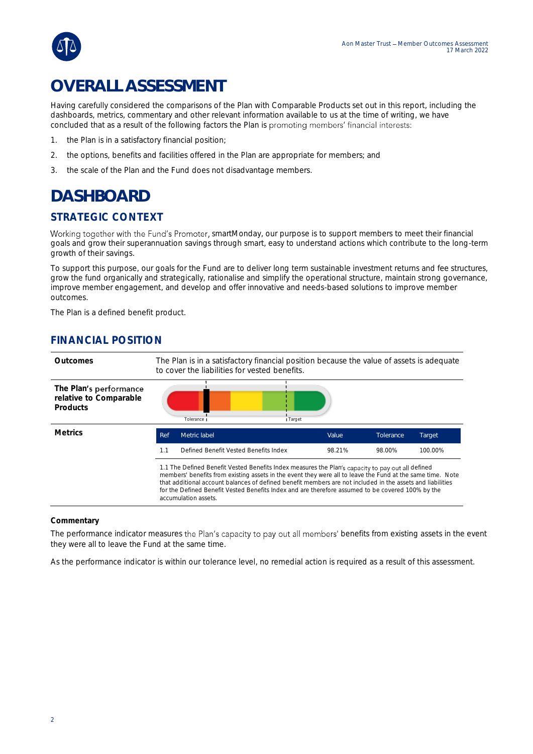

# **OVERALL ASSESSMENT**

Having carefully considered the comparisons of the Plan with Comparable Products set out in this report, including the dashboards, metrics, commentary and other relevant information available to us at the time of writing, we have concluded that as a result of the following factors the Plan is promoting members' financial interests:

- 1. the Plan is in a satisfactory financial position;
- 2. the options, benefits and facilities offered in the Plan are appropriate for members; and
- 3. the scale of the Plan and the Fund does not disadvantage members.

## **DASHBOARD**

### STRATEGIC CONTEXT

Working together with the Fund's Promoter, smartMonday, our purpose is to support members to meet their financial goals and grow their superannuation savings through smart, easy to understand actions which contribute to the long-term growth of their savings.

To support this purpose, our goals for the Fund are to deliver long term sustainable investment returns and fee structures, grow the fund organically and strategically, rationalise and simplify the operational structure, maintain strong governance, improve member engagement, and develop and offer innovative and needs-based solutions to improve member outcomes.

The Plan is a defined benefit product.

### FINANCIAL POSITION



#### **Commentary**

The performance indicator measures the Plan's capacity to pay out all members' benefits from existing assets in the event they were all to leave the Fund at the same time.

As the performance indicator is within our tolerance level, no remedial action is required as a result of this assessment.